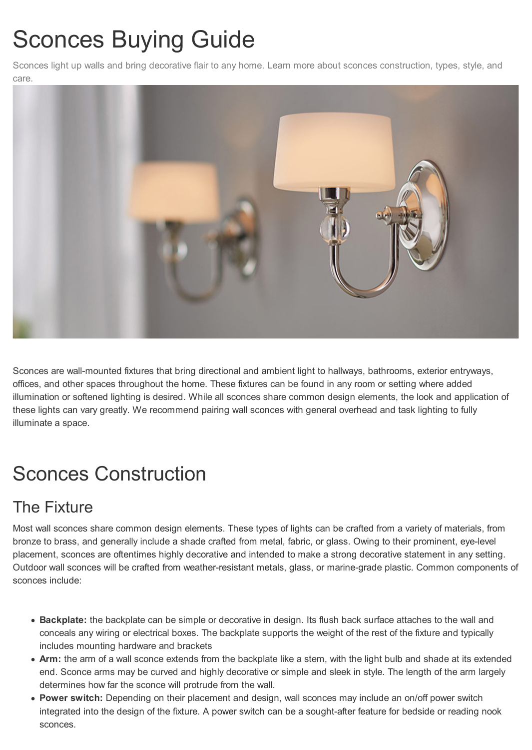# Sconces Buying Guide

Sconces light up walls and bring decorative flair to any home. Learn more about sconces construction, types, style, and care.



Sconces are wall-mounted fixtures that bring directional and ambient light to hallways, bathrooms, exterior entryways, offices, and other spaces throughout the home. These fixtures can be found in any room or setting where added illumination or softened lighting is desired. While all sconces share common design elements, the look and application of these lights can vary greatly. We recommend pairing wall sconces with general overhead and task lighting to fully illuminate a space.

# Sconces Construction

## The Fixture

Most wall sconces share common design elements. These types of lights can be crafted from a variety of materials, from bronze to brass, and generally include a shade crafted from metal, fabric, or glass. Owing to their prominent, eye-level placement, sconces are oftentimes highly decorative and intended to make a strong decorative statement in any setting. Outdoor wall sconces will be crafted from weather-resistant metals, glass, or marine-grade plastic. Common components of sconces include:

- **Backplate:** the backplate can be simple or decorative in design. Its flush back surface attaches to the wall and conceals any wiring or electrical boxes. The backplate supports the weight of the rest of the fixture and typically includes mounting hardware and brackets
- **Arm:** the arm of a wall sconce extends from the backplate like a stem, with the light bulb and shade at its extended end. Sconce arms may be curved and highly decorative or simple and sleek in style. The length of the arm largely determines how far the sconce will protrude from the wall.
- **Power switch:** Depending on their placement and design, wall sconces may include an on/off power switch integrated into the design of the fixture. A power switch can be a sought-after feature for bedside or reading nook sconces.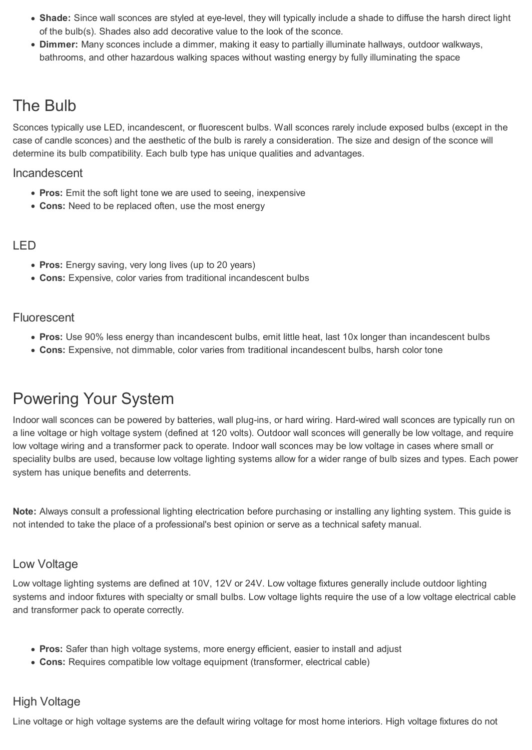- **Shade:** Since wall sconces are styled at eye-level, they will typically include a shade to diffuse the harsh direct light of the bulb(s). Shades also add decorative value to the look of the sconce.
- **Dimmer:** Many sconces include a dimmer, making it easy to partially illuminate hallways, outdoor walkways, bathrooms, and other hazardous walking spaces without wasting energy by fully illuminating the space

## The Bulb

Sconces typically use LED, incandescent, or fluorescent bulbs. Wall sconces rarely include exposed bulbs (except in the case of candle sconces) and the aesthetic of the bulb is rarely a consideration. The size and design of the sconce will determine its bulb compatibility. Each bulb type has unique qualities and advantages.

#### Incandescent

- **Pros:** Emit the soft light tone we are used to seeing, inexpensive
- **Cons:** Need to be replaced often, use the most energy

#### LED

- **Pros:** Energy saving, very long lives (up to 20 years)
- **Cons:** Expensive, color varies from traditional incandescent bulbs

#### Fluorescent

- **Pros:** Use 90% less energy than incandescent bulbs, emit little heat, last 10x longer than incandescent bulbs
- **Cons:** Expensive, not dimmable, color varies from traditional incandescent bulbs, harsh color tone

## Powering Your System

Indoor wall sconces can be powered by batteries, wall plug-ins, or hard wiring. Hard-wired wall sconces are typically run on a line voltage or high voltage system (defined at 120 volts). Outdoor wall sconces will generally be low voltage, and require low voltage wiring and a transformer pack to operate. Indoor wall sconces may be low voltage in cases where small or speciality bulbs are used, because low voltage lighting systems allow for a wider range of bulb sizes and types. Each power system has unique benefits and deterrents.

**Note:** Always consult a professional lighting electrication before purchasing or installing any lighting system. This guide is not intended to take the place of a professional's best opinion or serve as a technical safety manual.

#### Low Voltage

Low voltage lighting systems are defined at 10V, 12V or 24V. Low voltage fixtures generally include outdoor lighting systems and indoor fixtures with specialty or small bulbs. Low voltage lights require the use of a low voltage electrical cable and transformer pack to operate correctly.

- **Pros:** Safer than high voltage systems, more energy efficient, easier to install and adjust
- **Cons:** Requires compatible low voltage equipment (transformer, electrical cable)

#### High Voltage

Line voltage or high voltage systems are the default wiring voltage for most home interiors. High voltage fixtures do not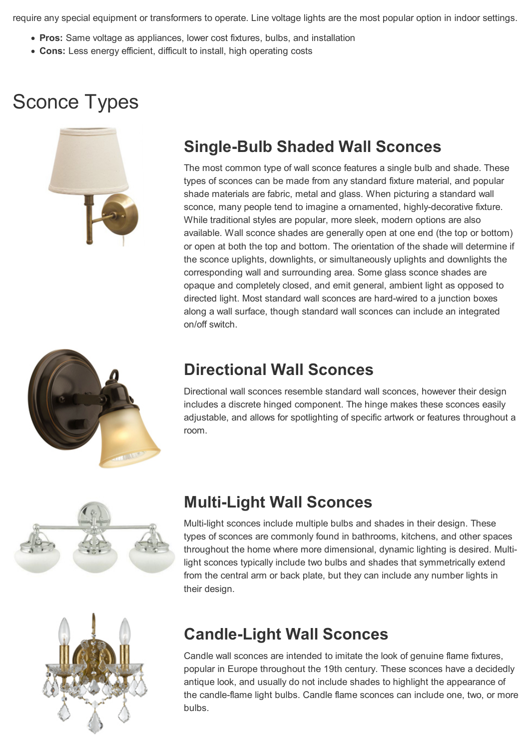require any special equipment or transformers to operate. Line voltage lights are the most popular option in indoor settings.

- **Pros:** Same voltage as appliances, lower cost fixtures, bulbs, and installation
- **Cons:** Less energy efficient, difficult to install, high operating costs

## Sconce Types



## **Single-Bulb Shaded Wall Sconces**

The most common type of wall sconce features a single bulb and shade. These types of sconces can be made from any standard fixture material, and popular shade materials are fabric, metal and glass. When picturing a standard wall sconce, many people tend to imagine a ornamented, highly-decorative fixture. While traditional styles are popular, more sleek, modern options are also available. Wall sconce shades are generally open at one end (the top or bottom) or open at both the top and bottom. The orientation of the shade will determine if the sconce uplights, downlights, or simultaneously uplights and downlights the corresponding wall and surrounding area. Some glass sconce shades are opaque and completely closed, and emit general, ambient light as opposed to directed light. Most standard wall sconces are hard-wired to a junction boxes along a wall surface, though standard wall sconces can include an integrated on/off switch.



### **Directional Wall Sconces**

Directional wall sconces resemble standard wall sconces, however their design includes a discrete hinged component. The hinge makes these sconces easily adjustable, and allows for spotlighting of specific artwork or features throughout a room.



## **Multi-Light Wall Sconces**

Multi-light sconces include multiple bulbs and shades in their design. These types of sconces are commonly found in bathrooms, kitchens, and other spaces throughout the home where more dimensional, dynamic lighting is desired. Multilight sconces typically include two bulbs and shades that symmetrically extend from the central arm or back plate, but they can include any number lights in their design.



## **Candle-Light Wall Sconces**

Candle wall sconces are intended to imitate the look of genuine flame fixtures, popular in Europe throughout the 19th century. These sconces have a decidedly antique look, and usually do not include shades to highlight the appearance of the candle-flame light bulbs. Candle flame sconces can include one, two, or more bulbs.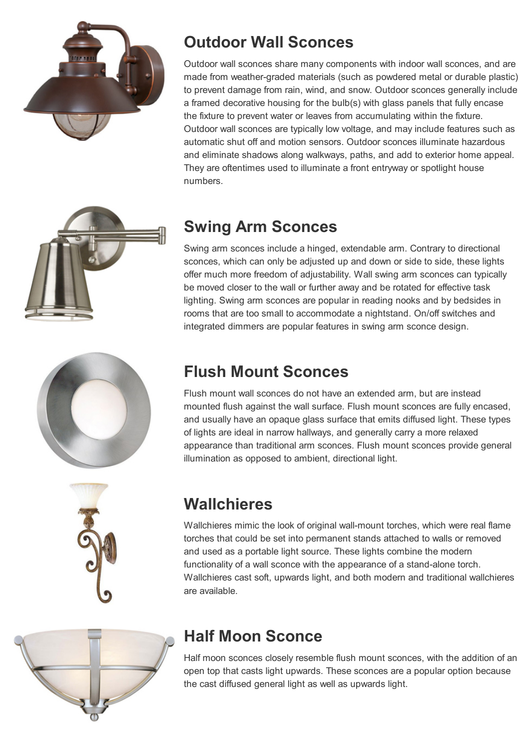







## **Outdoor Wall Sconces**

Outdoor wall sconces share many components with indoor wall sconces, and are made from weather-graded materials (such as powdered metal or durable plastic) to prevent damage from rain, wind, and snow. Outdoor sconces generally include a framed decorative housing for the bulb(s) with glass panels that fully encase the fixture to prevent water or leaves from accumulating within the fixture. Outdoor wall sconces are typically low voltage, and may include features such as automatic shut off and motion sensors. Outdoor sconces illuminate hazardous and eliminate shadows along walkways, paths, and add to exterior home appeal. They are oftentimes used to illuminate a front entryway or spotlight house numbers.

## **Swing Arm Sconces**

Swing arm sconces include a hinged, extendable arm. Contrary to directional sconces, which can only be adjusted up and down or side to side, these lights offer much more freedom of adjustability. Wall swing arm sconces can typically be moved closer to the wall or further away and be rotated for effective task lighting. Swing arm sconces are popular in reading nooks and by bedsides in rooms that are too small to accommodate a nightstand. On/off switches and integrated dimmers are popular features in swing arm sconce design.

## **Flush Mount Sconces**

Flush mount wall sconces do not have an extended arm, but are instead mounted flush against the wall surface. Flush mount sconces are fully encased, and usually have an opaque glass surface that emits diffused light. These types of lights are ideal in narrow hallways, and generally carry a more relaxed appearance than traditional arm sconces. Flush mount sconces provide general illumination as opposed to ambient, directional light.

## **Wallchieres**

Wallchieres mimic the look of original wall-mount torches, which were real flame torches that could be set into permanent stands attached to walls or removed and used as a portable light source. These lights combine the modern functionality of a wall sconce with the appearance of a stand-alone torch. Wallchieres cast soft, upwards light, and both modern and traditional wallchieres are available.



## **Half Moon Sconce**

Half moon sconces closely resemble flush mount sconces, with the addition of an open top that casts light upwards. These sconces are a popular option because the cast diffused general light as well as upwards light.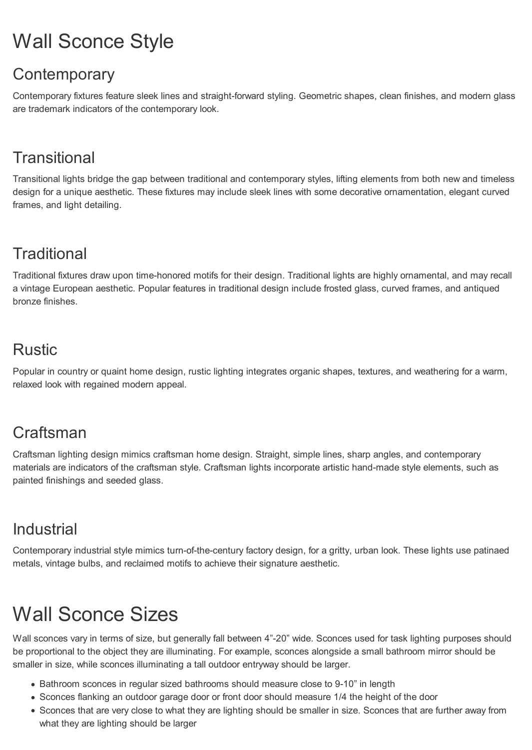# Wall Sconce Style

## **Contemporary**

Contemporary fixtures feature sleek lines and straight-forward styling. Geometric shapes, clean finishes, and modern glass are trademark indicators of the contemporary look.

## **Transitional**

Transitional lights bridge the gap between traditional and contemporary styles, lifting elements from both new and timeless design for a unique aesthetic. These fixtures may include sleek lines with some decorative ornamentation, elegant curved frames, and light detailing.

## **Traditional**

Traditional fixtures draw upon time-honored motifs for their design. Traditional lights are highly ornamental, and may recall a vintage European aesthetic. Popular features in traditional design include frosted glass, curved frames, and antiqued bronze finishes.

## Rustic

Popular in country or quaint home design, rustic lighting integrates organic shapes, textures, and weathering for a warm, relaxed look with regained modern appeal.

## **Craftsman**

Craftsman lighting design mimics craftsman home design. Straight, simple lines, sharp angles, and contemporary materials are indicators of the craftsman style. Craftsman lights incorporate artistic hand-made style elements, such as painted finishings and seeded glass.

## Industrial

Contemporary industrial style mimics turn-of-the-century factory design, for a gritty, urban look. These lights use patinaed metals, vintage bulbs, and reclaimed motifs to achieve their signature aesthetic.

# Wall Sconce Sizes

Wall sconces vary in terms of size, but generally fall between 4"-20" wide. Sconces used for task lighting purposes should be proportional to the object they are illuminating. For example, sconces alongside a small bathroom mirror should be smaller in size, while sconces illuminating a tall outdoor entryway should be larger.

- Bathroom sconces in regular sized bathrooms should measure close to 9-10" in length
- Sconces flanking an outdoor garage door or front door should measure 1/4 the height of the door
- Sconces that are very close to what they are lighting should be smaller in size. Sconces that are further away from what they are lighting should be larger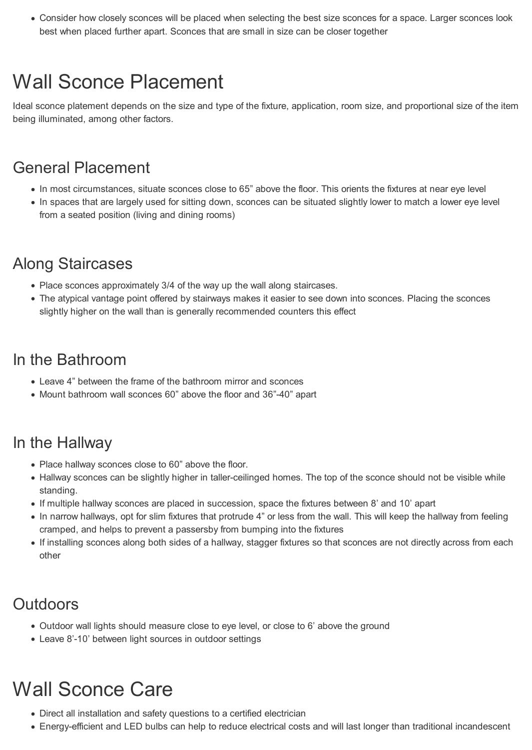Consider how closely sconces will be placed when selecting the best size sconces for a space. Larger sconces look best when placed further apart. Sconces that are small in size can be closer together

## Wall Sconce Placement

Ideal sconce platement depends on the size and type of the fixture, application, room size, and proportional size of the item being illuminated, among other factors.

### General Placement

- In most circumstances, situate sconces close to 65" above the floor. This orients the fixtures at near eye level
- In spaces that are largely used for sitting down, sconces can be situated slightly lower to match a lower eye level from a seated position (living and dining rooms)

## Along Staircases

- Place sconces approximately 3/4 of the way up the wall along staircases.
- The atypical vantage point offered by stairways makes it easier to see down into sconces. Placing the sconces slightly higher on the wall than is generally recommended counters this effect

### In the Bathroom

- Leave 4" between the frame of the bathroom mirror and sconces
- Mount bathroom wall sconces 60" above the floor and 36"-40" apart

## In the Hallway

- Place hallway sconces close to 60" above the floor.
- Hallway sconces can be slightly higher in taller-ceilinged homes. The top of the sconce should not be visible while standing.
- If multiple hallway sconces are placed in succession, space the fixtures between 8' and 10' apart
- In narrow hallways, opt for slim fixtures that protrude 4" or less from the wall. This will keep the hallway from feeling cramped, and helps to prevent a passersby from bumping into the fixtures
- If installing sconces along both sides of a hallway, stagger fixtures so that sconces are not directly across from each other

## **Outdoors**

- Outdoor wall lights should measure close to eye level, or close to 6' above the ground
- Leave 8'-10' between light sources in outdoor settings

# Wall Sconce Care

- Direct all installation and safety questions to a certified electrician
- Energy-efficient and LED bulbs can help to reduce electrical costs and will last longer than traditional incandescent